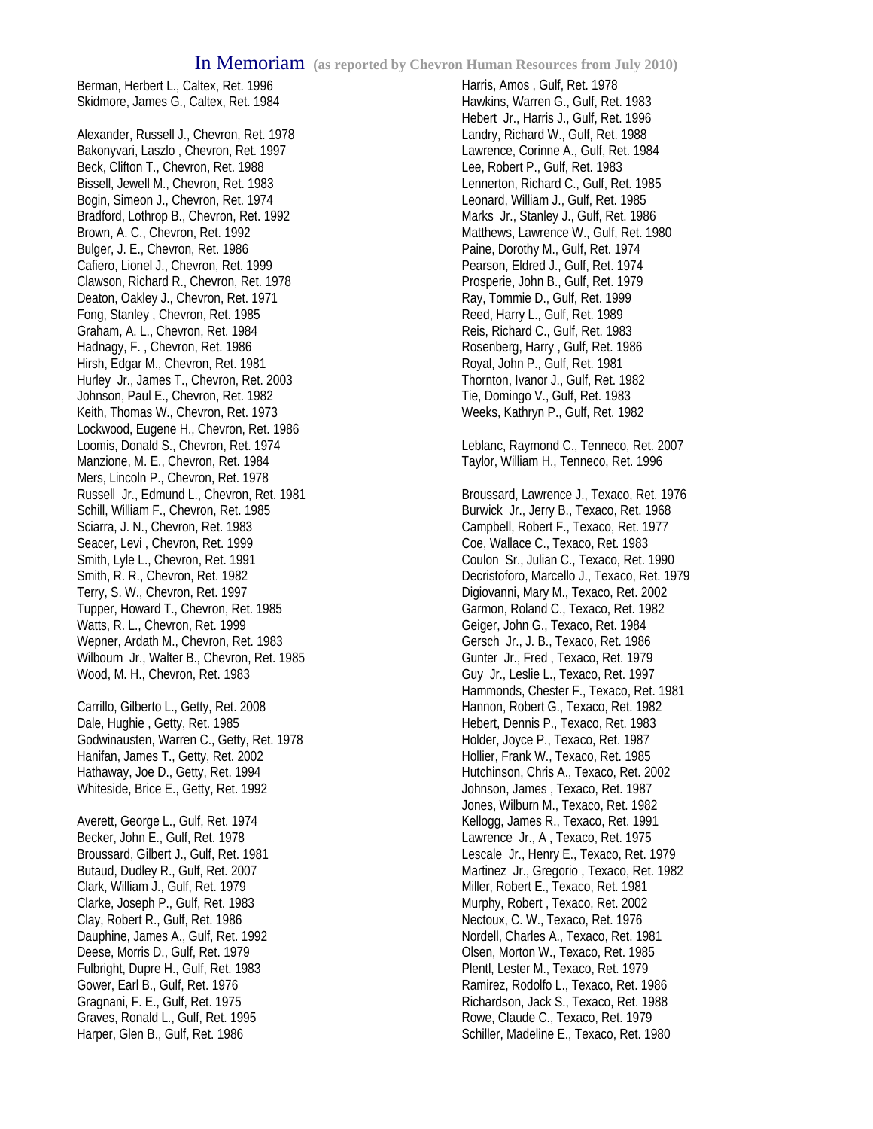Berman, Herbert L., Caltex, Ret. 1996 Skidmore, James G., Caltex, Ret. 1984

Alexander, Russell J., Chevron, Ret. 1978 Bakonyvari, Laszlo , Chevron, Ret. 1997 Beck, Clifton T., Chevron, Ret. 1988 Bissell, Jewell M., Chevron, Ret. 1983 Bogin, Simeon J., Chevron, Ret. 1974 Bradford, Lothrop B., Chevron, Ret. 1992 Brown, A. C., Chevron, Ret. 1992 Bulger, J. E., Chevron, Ret. 1986 Cafiero, Lionel J., Chevron, Ret. 1999 Clawson, Richard R., Chevron, Ret. 1978 Deaton, Oakley J., Chevron, Ret. 1971 Fong, Stanley , Chevron, Ret. 1985 Graham, A. L., Chevron, Ret. 1984 Hadnagy, F. , Chevron, Ret. 1986 Hirsh, Edgar M., Chevron, Ret. 1981 Hurley Jr., James T., Chevron, Ret. 2003 Johnson, Paul E., Chevron, Ret. 1982 Keith, Thomas W., Chevron, Ret. 1973 Lockwood, Eugene H., Chevron, Ret. 1986 Loomis, Donald S., Chevron, Ret. 1974 Manzione, M. E., Chevron, Ret. 1984 Mers, Lincoln P., Chevron, Ret. 1978 Russell Jr., Edmund L., Chevron, Ret. 1981 Schill, William F., Chevron, Ret. 1985 Sciarra, J. N., Chevron, Ret. 1983 Seacer, Levi , Chevron, Ret. 1999 Smith, Lyle L., Chevron, Ret. 1991 Smith, R. R., Chevron, Ret. 1982 Terry, S. W., Chevron, Ret. 1997 Tupper, Howard T., Chevron, Ret. 1985 Watts, R. L., Chevron, Ret. 1999 Wepner, Ardath M., Chevron, Ret. 1983 Wilbourn Jr., Walter B., Chevron, Ret. 1985 Wood, M. H., Chevron, Ret. 1983

Carrillo, Gilberto L., Getty, Ret. 2008 Dale, Hughie , Getty, Ret. 1985 Godwinausten, Warren C., Getty, Ret. 1978 Hanifan, James T., Getty, Ret. 2002 Hathaway, Joe D., Getty, Ret. 1994 Whiteside, Brice E., Getty, Ret. 1992

Averett, George L., Gulf, Ret. 1974 Becker, John E., Gulf, Ret. 1978 Broussard, Gilbert J., Gulf, Ret. 1981 Butaud, Dudley R., Gulf, Ret. 2007 Clark, William J., Gulf, Ret. 1979 Clarke, Joseph P., Gulf, Ret. 1983 Clay, Robert R., Gulf, Ret. 1986 Dauphine, James A., Gulf, Ret. 1992 Deese, Morris D., Gulf, Ret. 1979 Fulbright, Dupre H., Gulf, Ret. 1983 Gower, Earl B., Gulf, Ret. 1976 Gragnani, F. E., Gulf, Ret. 1975 Graves, Ronald L., Gulf, Ret. 1995 Harper, Glen B., Gulf, Ret. 1986

Harris, Amos , Gulf, Ret. 1978 Hawkins, Warren G., Gulf, Ret. 1983 Hebert Jr., Harris J., Gulf, Ret. 1996 Landry, Richard W., Gulf, Ret. 1988 Lawrence, Corinne A., Gulf, Ret. 1984 Lee, Robert P., Gulf, Ret. 1983 Lennerton, Richard C., Gulf, Ret. 1985 Leonard, William J., Gulf, Ret. 1985 Marks Jr., Stanley J., Gulf, Ret. 1986 Matthews, Lawrence W., Gulf, Ret. 1980 Paine, Dorothy M., Gulf, Ret. 1974 Pearson, Eldred J., Gulf, Ret. 1974 Prosperie, John B., Gulf, Ret. 1979 Ray, Tommie D., Gulf, Ret. 1999 Reed, Harry L., Gulf, Ret. 1989 Reis, Richard C., Gulf, Ret. 1983 Rosenberg, Harry , Gulf, Ret. 1986 Royal, John P., Gulf, Ret. 1981 Thornton, Ivanor J., Gulf, Ret. 1982 Tie, Domingo V., Gulf, Ret. 1983 Weeks, Kathryn P., Gulf, Ret. 1982

Leblanc, Raymond C., Tenneco, Ret. 2007 Taylor, William H., Tenneco, Ret. 1996

Broussard, Lawrence J., Texaco, Ret. 1976 Burwick Jr., Jerry B., Texaco, Ret. 1968 Campbell, Robert F., Texaco, Ret. 1977 Coe, Wallace C., Texaco, Ret. 1983 Coulon Sr., Julian C., Texaco, Ret. 1990 Decristoforo, Marcello J., Texaco, Ret. 1979 Digiovanni, Mary M., Texaco, Ret. 2002 Garmon, Roland C., Texaco, Ret. 1982 Geiger, John G., Texaco, Ret. 1984 Gersch Jr., J. B., Texaco, Ret. 1986 Gunter Jr., Fred , Texaco, Ret. 1979 Guy Jr., Leslie L., Texaco, Ret. 1997 Hammonds, Chester F., Texaco, Ret. 1981 Hannon, Robert G., Texaco, Ret. 1982 Hebert, Dennis P., Texaco, Ret. 1983 Holder, Joyce P., Texaco, Ret. 1987 Hollier, Frank W., Texaco, Ret. 1985 Hutchinson, Chris A., Texaco, Ret. 2002 Johnson, James , Texaco, Ret. 1987 Jones, Wilburn M., Texaco, Ret. 1982 Kellogg, James R., Texaco, Ret. 1991 Lawrence Jr., A , Texaco, Ret. 1975 Lescale Jr., Henry E., Texaco, Ret. 1979 Martinez Jr., Gregorio , Texaco, Ret. 1982 Miller, Robert E., Texaco, Ret. 1981 Murphy, Robert , Texaco, Ret. 2002 Nectoux, C. W., Texaco, Ret. 1976 Nordell, Charles A., Texaco, Ret. 1981 Olsen, Morton W., Texaco, Ret. 1985 Plentl, Lester M., Texaco, Ret. 1979 Ramirez, Rodolfo L., Texaco, Ret. 1986 Richardson, Jack S., Texaco, Ret. 1988 Rowe, Claude C., Texaco, Ret. 1979 Schiller, Madeline E., Texaco, Ret. 1980